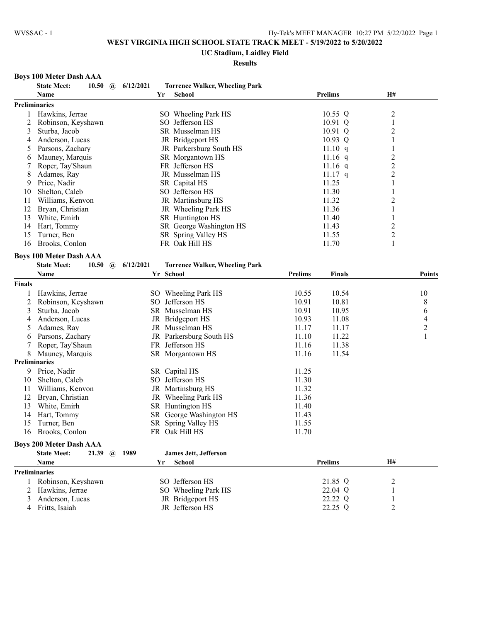# **UC Stadium, Laidley Field**

# **Results**

# **Boys 100 Meter Dash AAA**

|               | <b>State Meet:</b><br>10.50 $\omega$    | 6/12/2021             |    | <b>Torrence Walker, Wheeling Park</b>   |                |                |                         |                     |
|---------------|-----------------------------------------|-----------------------|----|-----------------------------------------|----------------|----------------|-------------------------|---------------------|
|               | Name                                    |                       | Yr | School                                  |                | <b>Prelims</b> | H#                      |                     |
|               | <b>Preliminaries</b>                    |                       |    |                                         |                |                |                         |                     |
| 1             | Hawkins, Jerrae                         |                       |    | SO Wheeling Park HS                     |                | 10.55 Q        | $\overline{c}$          |                     |
| 2             | Robinson, Keyshawn                      |                       |    | SO Jefferson HS                         |                | 10.91 Q        | 1                       |                     |
| 3             | Sturba, Jacob                           |                       |    | SR Musselman HS                         |                | $10.91$ Q      | 2                       |                     |
| 4             | Anderson, Lucas                         |                       |    | JR Bridgeport HS                        |                | 10.93 Q        | 1                       |                     |
| 5             | Parsons, Zachary                        |                       |    | JR Parkersburg South HS                 |                | 11.10 q        | 1                       |                     |
| 6             | Mauney, Marquis                         |                       |    | SR Morgantown HS                        |                | $11.16$ q      | $\overline{c}$          |                     |
| 7             | Roper, Tay'Shaun                        |                       |    | FR Jefferson HS                         |                | 11.16 $q$      | $\overline{\mathbf{c}}$ |                     |
| 8             | Adames, Ray                             |                       |    | JR Musselman HS                         |                | $11.17$ q      | $\overline{c}$          |                     |
| 9             | Price, Nadir                            |                       |    | SR Capital HS                           |                | 11.25          | 1                       |                     |
| 10            | Shelton, Caleb                          |                       |    | SO Jefferson HS                         |                | 11.30          | $\mathbf{1}$            |                     |
| 11            | Williams, Kenvon                        |                       |    | JR Martinsburg HS                       |                | 11.32          | $\overline{2}$          |                     |
| 12            | Bryan, Christian                        |                       |    | JR Wheeling Park HS                     |                | 11.36          | 1                       |                     |
| 13            | White, Emirh                            |                       |    | SR Huntington HS                        |                | 11.40          | 1                       |                     |
| 14            | Hart, Tommy                             |                       |    | SR George Washington HS                 |                | 11.43          | $\overline{c}$          |                     |
| 15            | Turner, Ben                             |                       |    | SR Spring Valley HS                     |                | 11.55          | $\overline{c}$          |                     |
| 16            | Brooks, Conlon                          |                       |    | FR Oak Hill HS                          |                | 11.70          | 1                       |                     |
|               | <b>Boys 100 Meter Dash AAA</b>          |                       |    |                                         |                |                |                         |                     |
|               | <b>State Meet:</b><br>10.50             | 6/12/2021<br>$\omega$ |    | <b>Torrence Walker, Wheeling Park</b>   |                |                |                         |                     |
|               | Name                                    |                       |    | Yr School                               | <b>Prelims</b> | <b>Finals</b>  |                         | <b>Points</b>       |
| <b>Finals</b> |                                         |                       |    |                                         |                |                |                         |                     |
|               |                                         |                       |    |                                         |                |                |                         |                     |
| 1             | Hawkins, Jerrae                         |                       |    | SO Wheeling Park HS                     | 10.55          | 10.54          |                         | 10                  |
| 2             | Robinson, Keyshawn                      |                       |    | SO Jefferson HS                         | 10.91          | 10.81          |                         | 8                   |
| 3             | Sturba, Jacob                           |                       |    | SR Musselman HS                         | 10.91          | 10.95          |                         | 6                   |
| 4             | Anderson, Lucas                         |                       |    | JR Bridgeport HS                        | 10.93          | 11.08          |                         | 4                   |
| 5             | Adames, Ray                             |                       |    | JR Musselman HS                         | 11.17          | 11.17          |                         | $\overline{c}$<br>1 |
| 6             | Parsons, Zachary                        |                       |    | JR Parkersburg South HS                 | 11.10          | 11.22          |                         |                     |
|               | Roper, Tay'Shaun                        |                       |    | FR Jefferson HS                         | 11.16          | 11.38          |                         |                     |
| 8             | Mauney, Marquis<br><b>Preliminaries</b> |                       |    | SR Morgantown HS                        | 11.16          | 11.54          |                         |                     |
|               |                                         |                       |    |                                         |                |                |                         |                     |
| 9             | Price, Nadir                            |                       |    | SR Capital HS                           | 11.25          |                |                         |                     |
| 10            | Shelton, Caleb                          |                       |    | SO Jefferson HS                         | 11.30          |                |                         |                     |
| 11            | Williams, Kenvon                        |                       |    | JR Martinsburg HS                       | 11.32          |                |                         |                     |
| 12            | Bryan, Christian                        |                       |    | JR Wheeling Park HS<br>SR Huntington HS | 11.36          |                |                         |                     |
| 13            | White, Emirh                            |                       |    |                                         | 11.40          |                |                         |                     |
| 14            | Hart, Tommy                             |                       |    | SR George Washington HS                 | 11.43          |                |                         |                     |
| 15            | Turner, Ben                             |                       |    | SR Spring Valley HS<br>FR Oak Hill HS   | 11.55          |                |                         |                     |
| 16            | Brooks, Conlon                          |                       |    |                                         | 11.70          |                |                         |                     |
|               | <b>Boys 200 Meter Dash AAA</b>          |                       |    |                                         |                |                |                         |                     |
|               | <b>State Meet:</b><br>21.39             | 1989<br>$\mathbf{a}$  |    | James Jett, Jefferson                   |                |                |                         |                     |
|               | Name                                    |                       | Yr | School                                  |                | <b>Prelims</b> | H#                      |                     |
|               | Preliminaries                           |                       |    |                                         |                |                |                         |                     |
|               | 1 Robinson, Keyshawn                    |                       |    | SO Jefferson HS                         |                | 21.85 Q        | 2                       |                     |
| 2             | Hawkins, Jerrae                         |                       |    | SO Wheeling Park HS                     |                | 22.04 Q        | 1                       |                     |
| 3             | Anderson, Lucas                         |                       |    | JR Bridgeport HS                        |                | 22.22 Q        | $\mathbf{1}$            |                     |
| 4             | Fritts, Isaiah                          |                       |    | JR Jefferson HS                         |                | 22.25 Q        | 2                       |                     |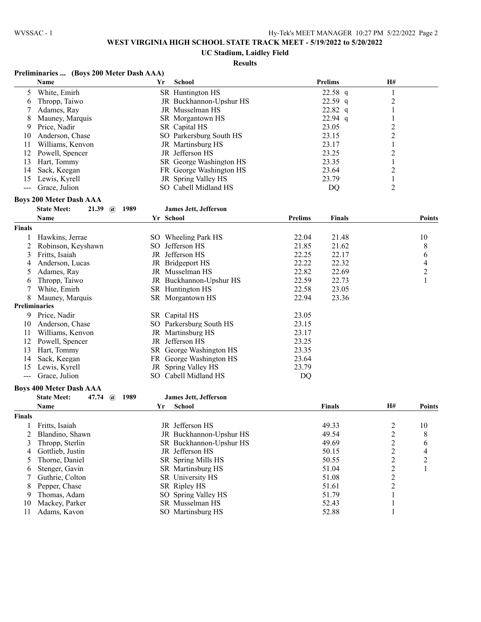### **UC Stadium, Laidley Field**

### **Results**

### **Preliminaries ... (Boys 200 Meter Dash AAA)**

|    | <b>Name</b>       | Yr | School                  | <b>Prelims</b> | H# |
|----|-------------------|----|-------------------------|----------------|----|
|    | White, Emirh      |    | SR Huntington HS        | $22.58$ q      |    |
| 6  | Thropp, Taiwo     |    | JR Buckhannon-Upshur HS | $22.59$ q      |    |
|    | Adames, Ray       |    | JR Musselman HS         | $22.82$ q      |    |
| 8. | Mauney, Marquis   |    | SR Morgantown HS        | $22.94$ q      |    |
| 9. | Price, Nadir      |    | SR Capital HS           | 23.05          |    |
| 10 | Anderson, Chase   |    | SO Parkersburg South HS | 23.15          |    |
|    | Williams, Kenvon  |    | JR Martinsburg HS       | 23.17          |    |
| 12 | Powell, Spencer   |    | JR Jefferson HS         | 23.25          |    |
| 13 | Hart, Tommy       |    | SR George Washington HS | 23.35          |    |
| 14 | Sack, Keegan      |    | FR George Washington HS | 23.64          |    |
|    | 15 Lewis, Kyrell  |    | JR Spring Valley HS     | 23.79          |    |
|    | --- Grace, Julion |    | SO Cabell Midland HS    | DO             |    |

#### **Boys 200 Meter Dash AAA**

|        | <b>State Meet:</b><br>21.39<br>1989<br>$\mathbf{a}$ |     | <b>James Jett, Jefferson</b> |         |               |           |                |
|--------|-----------------------------------------------------|-----|------------------------------|---------|---------------|-----------|----------------|
|        | Name                                                |     | Yr School                    | Prelims | <b>Finals</b> |           | <b>Points</b>  |
| Finals |                                                     |     |                              |         |               |           |                |
|        | Hawkins, Jerrae                                     |     | SO Wheeling Park HS          | 22.04   | 21.48         |           | 10             |
|        | Robinson, Keyshawn                                  | SO. | Jefferson HS                 | 21.85   | 21.62         |           | 8              |
| 3      | Fritts, Isaiah                                      |     | JR Jefferson HS              | 22.25   | 22.17         |           | 6              |
|        | Anderson, Lucas                                     |     | JR Bridgeport HS             | 22.22   | 22.32         |           | 4              |
| 5      | Adames, Ray                                         |     | JR Musselman HS              | 22.82   | 22.69         |           | $\overline{c}$ |
| 6      | Thropp, Taiwo                                       |     | JR Buckhannon-Upshur HS      | 22.59   | 22.73         |           |                |
|        | White, Emirh                                        |     | SR Huntington HS             | 22.58   | 23.05         |           |                |
| 8      | Mauney, Marquis                                     |     | SR Morgantown HS             | 22.94   | 23.36         |           |                |
|        | Preliminaries                                       |     |                              |         |               |           |                |
| 9      | Price, Nadir                                        |     | SR Capital HS                | 23.05   |               |           |                |
| 10     | Anderson, Chase                                     |     | SO Parkersburg South HS      | 23.15   |               |           |                |
| 11     | Williams, Kenvon                                    |     | JR Martinsburg HS            | 23.17   |               |           |                |
| 12     | Powell, Spencer                                     |     | JR Jefferson HS              | 23.25   |               |           |                |
| 13     | Hart, Tommy                                         |     | SR George Washington HS      | 23.35   |               |           |                |
| 14     | Sack, Keegan                                        |     | FR George Washington HS      | 23.64   |               |           |                |
| 15     | Lewis, Kyrell                                       |     | JR Spring Valley HS          | 23.79   |               |           |                |
| $---$  | Grace, Julion                                       | SO. | Cabell Midland HS            | DQ      |               |           |                |
|        | <b>Boys 400 Meter Dash AAA</b>                      |     |                              |         |               |           |                |
|        | <b>State Meet:</b><br>47.74<br>1989<br>$\omega$     |     | <b>James Jett, Jefferson</b> |         |               |           |                |
|        | <b>Name</b>                                         |     | <b>School</b><br>Yr          |         | <b>Finals</b> | <b>H#</b> | <b>Points</b>  |

| Finals |                  |                         |       |    |
|--------|------------------|-------------------------|-------|----|
|        | Fritts, Isaiah   | JR Jefferson HS         | 49.33 | 10 |
|        | Blandino, Shawn  | JR Buckhannon-Upshur HS | 49.54 | 8  |
|        | Thropp, Sterlin  | SR Buckhannon-Upshur HS | 49.69 | O  |
| 4      | Gottlieb, Justin | JR Jefferson HS         | 50.15 | 4  |
|        | Thorne, Daniel   | SR Spring Mills HS      | 50.55 | ↑  |
| 6      | Stenger, Gavin   | SR Martinsburg HS       | 51.04 |    |
|        | Guthrie, Colton  | SR University HS        | 51.08 |    |
| 8      | Pepper, Chase    | SR Ripley HS            | 51.61 |    |
| 9      | Thomas, Adam     | SO Spring Valley HS     | 51.79 |    |
| 10     | Mackey, Parker   | SR Musselman HS         | 52.43 |    |
|        | Adams, Kavon     | SO Martinsburg HS       | 52.88 |    |
|        |                  |                         |       |    |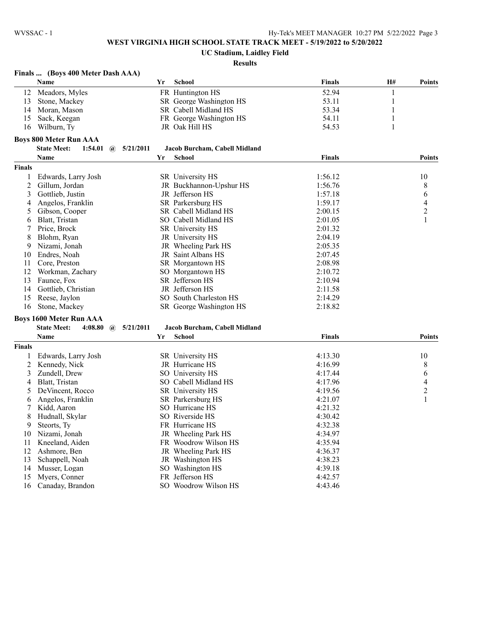### **UC Stadium, Laidley Field**

|               | Finals  (Boys 400 Meter Dash AAA)             |           |                               |               |              |                |
|---------------|-----------------------------------------------|-----------|-------------------------------|---------------|--------------|----------------|
|               | Name                                          | Yr        | School                        | <b>Finals</b> | H#           | <b>Points</b>  |
| 12            | Meadors, Myles                                |           | FR Huntington HS              | 52.94         | 1            |                |
| 13            | Stone, Mackey                                 |           | SR George Washington HS       | 53.11         | $\mathbf{1}$ |                |
| 14            | Moran, Mason                                  |           | SR Cabell Midland HS          | 53.34         | 1            |                |
| 15            | Sack, Keegan                                  |           | FR George Washington HS       | 54.11         |              |                |
| 16            | Wilburn, Ty                                   |           | JR Oak Hill HS                | 54.53         | 1            |                |
|               | <b>Boys 800 Meter Run AAA</b>                 |           |                               |               |              |                |
|               | <b>State Meet:</b><br>1:54.01<br>$\mathbf{a}$ | 5/21/2011 | Jacob Burcham, Cabell Midland |               |              |                |
|               | Name                                          | Yr        | <b>School</b>                 | <b>Finals</b> |              | <b>Points</b>  |
| <b>Finals</b> |                                               |           |                               |               |              |                |
| 1             | Edwards, Larry Josh                           |           | SR University HS              | 1:56.12       |              | 10             |
| 2             | Gillum, Jordan                                |           | JR Buckhannon-Upshur HS       | 1:56.76       |              | 8              |
| 3             | Gottlieb, Justin                              |           | JR Jefferson HS               | 1:57.18       |              |                |
|               |                                               |           | SR Parkersburg HS             | 1:59.17       |              | 6              |
| 4             | Angelos, Franklin                             |           |                               |               |              | 4              |
| 5             | Gibson, Cooper                                |           | SR Cabell Midland HS          | 2:00.15       |              | $\overline{c}$ |
| 6             | Blatt, Tristan                                |           | SO Cabell Midland HS          | 2:01.05       |              | $\mathbf{1}$   |
| 7             | Price, Brock                                  |           | SR University HS              | 2:01.32       |              |                |
| 8             | Blohm, Ryan                                   |           | JR University HS              | 2:04.19       |              |                |
| 9             | Nizami, Jonah                                 |           | JR Wheeling Park HS           | 2:05.35       |              |                |
| 10            | Endres, Noah                                  |           | JR Saint Albans HS            | 2:07.45       |              |                |
| 11            | Core, Preston                                 |           | SR Morgantown HS              | 2:08.98       |              |                |
| 12            | Workman, Zachary                              |           | SO Morgantown HS              | 2:10.72       |              |                |
| 13            | Faunce, Fox                                   |           | SR Jefferson HS               | 2:10.94       |              |                |
| 14            | Gottlieb, Christian                           |           | JR Jefferson HS               | 2:11.58       |              |                |
| 15            | Reese, Jaylon                                 |           | SO South Charleston HS        | 2:14.29       |              |                |
| 16            | Stone, Mackey                                 |           | SR George Washington HS       | 2:18.82       |              |                |
|               | <b>Boys 1600 Meter Run AAA</b>                |           |                               |               |              |                |
|               | <b>State Meet:</b><br>4:08.80<br>$\mathbf{a}$ | 5/21/2011 | Jacob Burcham, Cabell Midland |               |              |                |
|               | Name                                          | Yr        | <b>School</b>                 | <b>Finals</b> |              | <b>Points</b>  |
| Finals        |                                               |           |                               |               |              |                |
| 1             | Edwards, Larry Josh                           |           | SR University HS              | 4:13.30       |              | 10             |
| 2             | Kennedy, Nick                                 |           | JR Hurricane HS               | 4:16.99       |              | 8              |
| 3             | Zundell, Drew                                 |           | SO University HS              | 4:17.44       |              | 6              |
| 4             | Blatt, Tristan                                |           | SO Cabell Midland HS          | 4:17.96       |              | 4              |
| 5             | DeVincent, Rocco                              |           | SR University HS              | 4:19.56       |              | 2              |
| 6             | Angelos, Franklin                             |           | SR Parkersburg HS             | 4:21.07       |              | $\mathbf{1}$   |
| 7             | Kidd, Aaron                                   |           | SO Hurricane HS               | 4:21.32       |              |                |
| 8             | Hudnall, Skylar                               |           | SO Riverside HS               | 4:30.42       |              |                |
| 9             | Steorts, Ty                                   |           | FR Hurricane HS               | 4:32.38       |              |                |
| 10            | Nizami, Jonah                                 |           | JR Wheeling Park HS           | 4:34.97       |              |                |
| 11            | Kneeland, Aiden                               |           | FR Woodrow Wilson HS          | 4:35.94       |              |                |
| 12            | Ashmore, Ben                                  |           | JR Wheeling Park HS           | 4:36.37       |              |                |
| 13            | Schappell, Noah                               |           | JR Washington HS              | 4:38.23       |              |                |
| 14            | Musser, Logan                                 |           | SO Washington HS              | 4:39.18       |              |                |
| 15            | Myers, Conner                                 |           | FR Jefferson HS               | 4:42.57       |              |                |
| 16            | Canaday, Brandon                              |           | SO Woodrow Wilson HS          | 4:43.46       |              |                |
|               |                                               |           |                               |               |              |                |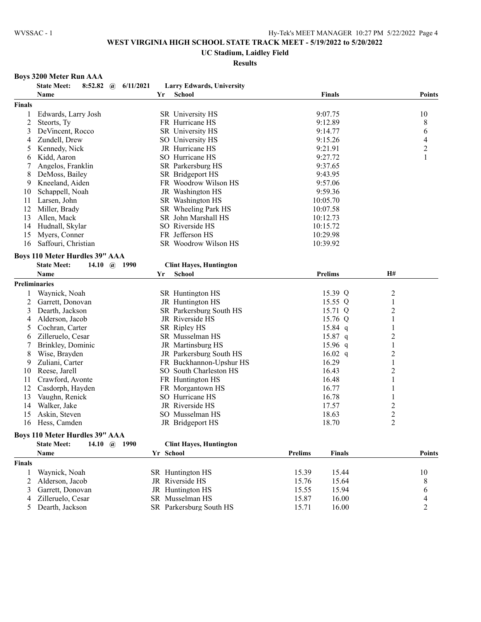### **UC Stadium, Laidley Field**

**Results**

#### **Boys 3200 Meter Run AAA**

|                | <b>State Meet:</b><br>6/11/2021<br>8:52.82 $\omega$ |    | <b>Larry Edwards, University</b>            |                        |                     |                |
|----------------|-----------------------------------------------------|----|---------------------------------------------|------------------------|---------------------|----------------|
|                | Name                                                | Yr | <b>School</b>                               | <b>Finals</b>          |                     | Points         |
| <b>Finals</b>  |                                                     |    |                                             |                        |                     |                |
| 1              | Edwards, Larry Josh                                 |    | SR University HS                            | 9:07.75                |                     | 10             |
| $\overline{c}$ | Steorts, Ty                                         |    | FR Hurricane HS                             | 9:12.89                |                     | 8              |
| 3              | DeVincent, Rocco                                    |    | SR University HS                            | 9:14.77                |                     | 6              |
| 4              | Zundell, Drew                                       |    | SO University HS                            | 9:15.26                |                     | 4              |
| 5              | Kennedy, Nick                                       |    | JR Hurricane HS                             | 9:21.91                |                     | $\overline{c}$ |
| 6              | Kidd, Aaron                                         |    | SO Hurricane HS                             | 9:27.72                |                     | $\mathbf{1}$   |
| 7              | Angelos, Franklin                                   |    | SR Parkersburg HS                           | 9:37.65                |                     |                |
| 8              | DeMoss, Bailey                                      |    | SR Bridgeport HS                            | 9:43.95                |                     |                |
| 9              | Kneeland, Aiden                                     |    | FR Woodrow Wilson HS                        | 9:57.06                |                     |                |
| 10             | Schappell, Noah                                     |    | JR Washington HS                            | 9:59.36                |                     |                |
| 11             | Larsen, John                                        |    | SR Washington HS                            | 10:05.70               |                     |                |
| 12             | Miller, Brady                                       |    | SR Wheeling Park HS                         | 10:07.58               |                     |                |
| 13             | Allen, Mack                                         |    | SR John Marshall HS                         | 10:12.73               |                     |                |
| 14             | Hudnall, Skylar                                     |    | SO Riverside HS                             | 10:15.72               |                     |                |
| 15             | Myers, Conner                                       |    | FR Jefferson HS                             | 10:29.98               |                     |                |
| 16             | Saffouri, Christian                                 |    | SR Woodrow Wilson HS                        | 10:39.92               |                     |                |
|                | <b>Boys 110 Meter Hurdles 39" AAA</b>               |    |                                             |                        |                     |                |
|                | <b>State Meet:</b><br>14.10 $\omega$ 1990           |    | <b>Clint Hayes, Huntington</b>              |                        |                     |                |
|                | <b>Name</b>                                         | Yr | <b>School</b>                               | <b>Prelims</b>         | H#                  |                |
|                | Preliminaries                                       |    |                                             |                        |                     |                |
|                |                                                     |    |                                             | 15.39 Q                |                     |                |
| 1              | Waynick, Noah                                       |    | SR Huntington HS                            | 15.55 Q                | $\overline{c}$<br>1 |                |
| 2<br>3         | Garrett, Donovan<br>Dearth, Jackson                 |    | JR Huntington HS<br>SR Parkersburg South HS | 15.71 Q                | $\overline{2}$      |                |
|                | Alderson, Jacob                                     |    | JR Riverside HS                             | 15.76 Q                | 1                   |                |
| 4              | Cochran, Carter                                     |    | SR Ripley HS                                |                        |                     |                |
| 5              |                                                     |    | SR Musselman HS                             | $15.84$ q              | 1<br>$\overline{2}$ |                |
| 6              | Zilleruelo, Cesar                                   |    |                                             | $15.87$ q              |                     |                |
| 7              | Brinkley, Dominic                                   |    | JR Martinsburg HS                           | 15.96 $q$<br>16.02 $q$ | 1                   |                |
| 8              | Wise, Brayden                                       |    | JR Parkersburg South HS                     |                        | $\overline{c}$      |                |
| 9              | Zuliani, Carter                                     |    | FR Buckhannon-Upshur HS                     | 16.29                  | 1                   |                |
| 10             | Reese, Jarell                                       |    | SO South Charleston HS                      | 16.43                  | $\overline{2}$      |                |
| 11             | Crawford, Avonte                                    |    | FR Huntington HS                            | 16.48                  | 1                   |                |
| 12             | Casdorph, Hayden                                    |    | FR Morgantown HS                            | 16.77                  | 1                   |                |
| 13             | Vaughn, Renick                                      |    | SO Hurricane HS                             | 16.78                  | 1                   |                |
| 14             | Walker, Jake                                        |    | JR Riverside HS                             | 17.57                  | $\overline{c}$      |                |
| 15             | Askin, Steven                                       |    | SO Musselman HS                             | 18.63                  | $\overline{c}$      |                |
| 16             | Hess, Camden                                        |    | JR Bridgeport HS                            | 18.70                  | $\overline{2}$      |                |
|                | $\sim$ $\sim$ $\sim$ $\sim$                         |    |                                             |                        |                     |                |

#### **Boys 110 Meter Hurdles 39" AAA**

|               | <b>State Meet:</b><br>14.10 $\omega$ | 1990 | <b>Clint Haves, Huntington</b> |                |               |               |
|---------------|--------------------------------------|------|--------------------------------|----------------|---------------|---------------|
|               | Name                                 |      | Yr School                      | <b>Prelims</b> | <b>Finals</b> | <b>Points</b> |
| <b>Finals</b> |                                      |      |                                |                |               |               |
|               | Waynick, Noah                        |      | SR Huntington HS               | 15.39          | 15.44         | 10            |
|               | 2 Alderson, Jacob                    |      | JR Riverside HS                | 15.76          | 15.64         |               |
|               | 3 Garrett, Donovan                   |      | JR Huntington HS               | 15.55          | 15.94         | 6             |
|               | 4 Zilleruelo, Cesar                  |      | SR Musselman HS                | 15.87          | 16.00         | 4             |
|               | 5 Dearth, Jackson                    |      | SR Parkersburg South HS        | 15.71          | 16.00         |               |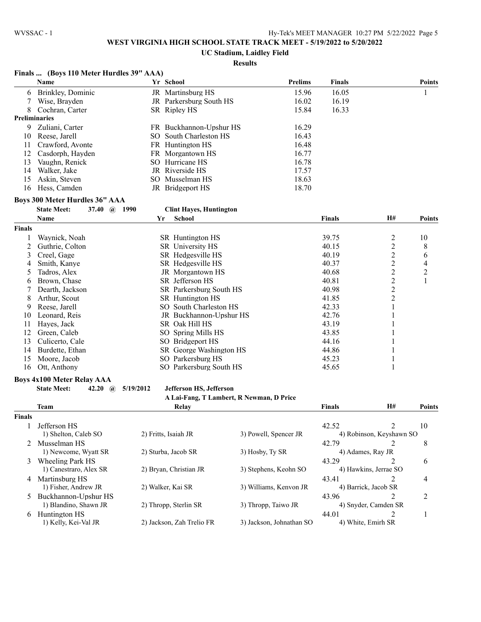**UC Stadium, Laidley Field**

|               | Finals  (Boys 110 Meter Hurdles 39" AAA) |           |                                |                                          |               |                          |               |
|---------------|------------------------------------------|-----------|--------------------------------|------------------------------------------|---------------|--------------------------|---------------|
|               | Name                                     |           | Yr School                      | <b>Prelims</b>                           | <b>Finals</b> |                          | <b>Points</b> |
| 6             | Brinkley, Dominic                        |           | JR Martinsburg HS              | 15.96                                    | 16.05         |                          | 1             |
| 7             | Wise, Brayden                            |           | JR Parkersburg South HS        | 16.02                                    | 16.19         |                          |               |
| 8             | Cochran, Carter                          |           | SR Ripley HS                   | 15.84                                    | 16.33         |                          |               |
|               | <b>Preliminaries</b>                     |           |                                |                                          |               |                          |               |
| 9             | Zuliani, Carter                          |           | FR Buckhannon-Upshur HS        | 16.29                                    |               |                          |               |
| 10            | Reese, Jarell                            |           | SO South Charleston HS         | 16.43                                    |               |                          |               |
| 11            | Crawford, Avonte                         |           | FR Huntington HS               | 16.48                                    |               |                          |               |
| 12            | Casdorph, Hayden                         |           | FR Morgantown HS               | 16.77                                    |               |                          |               |
| 13            | Vaughn, Renick                           |           | SO Hurricane HS                | 16.78                                    |               |                          |               |
| 14            | Walker, Jake                             |           | JR Riverside HS                | 17.57                                    |               |                          |               |
| 15            | Askin, Steven                            |           | SO Musselman HS                | 18.63                                    |               |                          |               |
| 16            | Hess, Camden                             |           | JR Bridgeport HS               | 18.70                                    |               |                          |               |
|               | Boys 300 Meter Hurdles 36" AAA           |           |                                |                                          |               |                          |               |
|               | <b>State Meet:</b><br>37.40 @ 1990       |           | <b>Clint Hayes, Huntington</b> |                                          |               |                          |               |
|               | Name                                     | Yr        | <b>School</b>                  |                                          | <b>Finals</b> | H#                       | <b>Points</b> |
| Finals        |                                          |           |                                |                                          |               |                          |               |
|               |                                          |           |                                |                                          |               |                          |               |
| 1             | Waynick, Noah                            |           | SR Huntington HS               |                                          | 39.75         | $\overline{\mathbf{c}}$  | 10            |
| 2             | Guthrie, Colton                          |           | SR University HS               |                                          | 40.15         | $\overline{c}$           | 8             |
| 3             | Creel, Gage                              |           | SR Hedgesville HS              |                                          | 40.19         | $\overline{c}$           | 6             |
| 4             | Smith, Kanye                             |           | SR Hedgesville HS              |                                          | 40.37         | $\overline{c}$           | 4             |
| 5             | Tadros, Alex                             |           | JR Morgantown HS               |                                          | 40.68         | $\overline{c}$           | 2             |
| 6             | Brown, Chase                             |           | SR Jefferson HS                |                                          | 40.81         | $\overline{c}$           | 1             |
| 7             | Dearth, Jackson                          |           | SR Parkersburg South HS        |                                          | 40.98         | $\overline{c}$           |               |
| 8             | Arthur, Scout                            |           | SR Huntington HS               |                                          | 41.85         | $\overline{c}$           |               |
| 9             | Reese, Jarell                            |           | SO South Charleston HS         |                                          | 42.33         | 1                        |               |
| 10            | Leonard, Reis                            |           | JR Buckhannon-Upshur HS        |                                          | 42.76         | 1                        |               |
| 11            | Hayes, Jack                              |           | SR Oak Hill HS                 |                                          | 43.19         | 1                        |               |
| 12            | Green, Caleb                             |           | SO Spring Mills HS             |                                          | 43.85         | 1                        |               |
| 13            | Culicerto, Cale                          |           | SO Bridgeport HS               |                                          | 44.16         | 1                        |               |
| 14            | Burdette, Ethan                          |           | SR George Washington HS        |                                          | 44.86         | 1                        |               |
| 15            | Moore, Jacob                             |           | SO Parkersburg HS              |                                          | 45.23         | $\mathbf{1}$             |               |
| 16            | Ott, Anthony                             |           | SO Parkersburg South HS        |                                          | 45.65         | 1                        |               |
|               | <b>Boys 4x100 Meter Relay AAA</b>        |           |                                |                                          |               |                          |               |
|               | <b>State Meet:</b><br>42.20 $(a)$        | 5/19/2012 | Jefferson HS, Jefferson        |                                          |               |                          |               |
|               |                                          |           |                                | A Lai-Fang, T Lambert, R Newman, D Price |               |                          |               |
|               | <b>Team</b>                              |           | Relay                          |                                          | <b>Finals</b> | H#                       | <b>Points</b> |
| <b>Finals</b> |                                          |           |                                |                                          |               |                          |               |
| 1             | Jefferson HS                             |           |                                |                                          | 42.52         | $\overline{2}$           | 10            |
|               | 1) Shelton, Caleb SO                     |           | 2) Fritts, Isaiah JR           | 3) Powell, Spencer JR                    |               | 4) Robinson, Keyshawn SO |               |
|               | 2 Musselman HS                           |           |                                |                                          | 42.79         | 2                        | 8             |
|               | 1) Newcome, Wyatt SR                     |           | 2) Sturba, Jacob SR            | 3) Hosby, Ty SR                          |               | 4) Adames, Ray JR        |               |
|               | 3 Wheeling Park HS                       |           |                                |                                          | 43.29         | 2                        | 6             |
|               | 1) Canestraro, Alex SR                   |           | 2) Bryan, Christian JR         | 3) Stephens, Keohn SO                    |               | 4) Hawkins, Jerrae SO    |               |
|               | 4 Martinsburg HS                         |           |                                |                                          | 43.41         | 2                        | 4             |
|               | 1) Fisher, Andrew JR                     |           | 2) Walker, Kai SR              | 3) Williams, Kenvon JR                   |               | 4) Barrick, Jacob SR     |               |
|               | Buckhannon-Upshur HS                     |           |                                |                                          | 43.96         | 2                        | 2             |
|               | 1) Blandino, Shawn JR                    |           | 2) Thropp, Sterlin SR          | 3) Thropp, Taiwo JR                      |               | 4) Snyder, Camden SR     |               |
| 6             | Huntington HS                            |           |                                |                                          | 44.01         | 2                        | 1             |
|               | 1) Kelly, Kei-Val JR                     |           | 2) Jackson, Zah Trelio FR      | 3) Jackson, Johnathan SO                 |               | 4) White, Emirh SR       |               |
|               |                                          |           |                                |                                          |               |                          |               |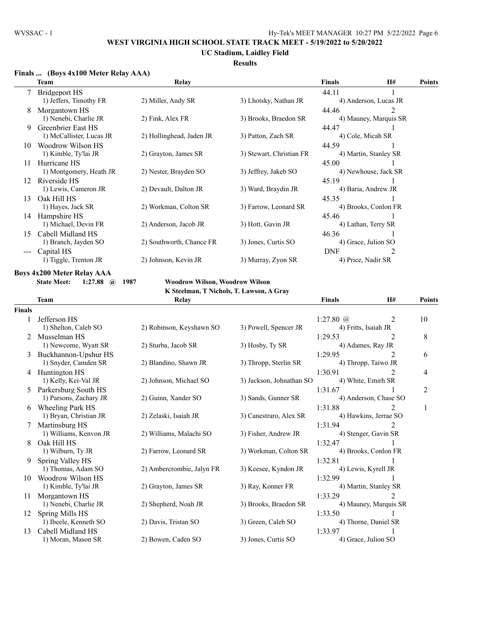### **UC Stadium, Laidley Field**

### **Results**

### **Finals ... (Boys 4x100 Meter Relay AAA)**

|     | Team                     | Relay                    |                          | Finals     | <b>H#</b>                     | <b>Points</b> |
|-----|--------------------------|--------------------------|--------------------------|------------|-------------------------------|---------------|
|     | Bridgeport HS            |                          |                          | 44.11      |                               |               |
|     | 1) Jeffers, Timothy FR   | 2) Miller, Andy SR       | 3) Lhotsky, Nathan JR    |            | 4) Anderson, Lucas JR         |               |
| 8   | Morgantown HS            |                          |                          | 44.46      | $\mathfrak{D}_{\mathfrak{p}}$ |               |
|     | 1) Nenebi, Charlie JR    | 2) Fink, Alex FR         | 3) Brooks, Braedon SR    |            | 4) Mauney, Marquis SR         |               |
| 9   | Greenbrier East HS       |                          |                          | 44.47      |                               |               |
|     | 1) McCallister, Lucas JR | 2) Hollinghead, Jaden JR | 3) Patton, Zach SR       |            | 4) Cole, Micah SR             |               |
| 10  | Woodrow Wilson HS        |                          |                          | 44.59      |                               |               |
|     | 1) Kimble, Ty'lai JR     | 2) Grayton, James SR     | 3) Stewart, Christian FR |            | 4) Martin, Stanley SR         |               |
| 11  | Hurricane HS             |                          |                          | 45.00      |                               |               |
|     | 1) Montgomery, Heath JR  | 2) Nester, Brayden SO    | 3) Jeffrey, Jakeb SO     |            | 4) Newhouse, Jack SR          |               |
| 12  | Riverside HS             |                          |                          | 45.19      |                               |               |
|     | 1) Lewis, Cameron JR     | 2) Devault, Dalton JR    | 3) Ward, Braydin JR      |            | 4) Baria, Andrew JR           |               |
| 13  | Oak Hill HS              |                          |                          | 45.35      |                               |               |
|     | 1) Hayes, Jack SR        | 2) Workman, Colton SR    | 3) Farrow, Leonard SR    |            | 4) Brooks, Conlon FR          |               |
| 14  | Hampshire HS             |                          |                          | 45.46      |                               |               |
|     | 1) Michael, Devin FR     | 2) Anderson, Jacob JR    | 3) Hott, Gavin JR        |            | 4) Lathan, Terry SR           |               |
| 15  | Cabell Midland HS        |                          |                          | 46.36      |                               |               |
|     | 1) Branch, Jayden SO     | 2) Southworth, Chance FR | 3) Jones, Curtis SO      |            | 4) Grace, Julion SO           |               |
| --- | Capital HS               |                          |                          | <b>DNF</b> |                               |               |
|     | 1) Tiggle, Trenton JR    | 2) Johnson, Kevin JR     | 3) Murray, Zyon SR       |            | 4) Price, Nadir SR            |               |

**Boys 4x200 Meter Relay AAA**<br>State Meet: 1:27.88 @ 1987

**State Meet: 1:27.88 @ 1987 Woodrow Wilson, Woodrow Wilson**

**K Steelman, T Nichols, T. Lawson, A Gray**

|               | <b>Team</b>            | Relay                     |                          | <b>Finals</b>        | H#                          | Points |
|---------------|------------------------|---------------------------|--------------------------|----------------------|-----------------------------|--------|
| <b>Finals</b> |                        |                           |                          |                      |                             |        |
|               | Jefferson HS           |                           |                          | 1:27.80 $@$          | 2                           | 10     |
|               | 1) Shelton, Caleb SO   | 2) Robinson, Keyshawn SO  | 3) Powell, Spencer JR    | 4) Fritts, Isaiah JR |                             |        |
|               | Musselman HS           |                           |                          | 1:29.53              | 2                           | 8      |
|               | 1) Newcome, Wyatt SR   | 2) Sturba, Jacob SR       | 3) Hosby, Ty SR          | 4) Adames, Ray JR    |                             |        |
| 3             | Buckhannon-Upshur HS   |                           |                          | 1:29.95              | 2                           | 6      |
|               | 1) Snyder, Camden SR   | 2) Blandino, Shawn JR     | 3) Thropp, Sterlin SR    |                      | 4) Thropp, Taiwo JR         |        |
|               | Huntington HS          |                           |                          | 1:30.91              |                             | 4      |
|               | 1) Kelly, Kei-Val JR   | 2) Johnson, Michael SO    | 3) Jackson, Johnathan SO | 4) White, Emirh SR   |                             |        |
| 5.            | Parkersburg South HS   |                           |                          | 1:31.67              |                             | 2      |
|               | 1) Parsons, Zachary JR | 2) Guinn, Xander SO       | 3) Sands, Gunner SR      |                      | 4) Anderson, Chase SO       |        |
| 6             | Wheeling Park HS       |                           |                          | 1:31.88              | 2                           | 1      |
|               | 1) Bryan, Christian JR | 2) Zelaski, Isaiah JR     | 3) Canestraro, Alex SR   |                      | 4) Hawkins, Jerrae SO       |        |
|               | Martinsburg HS         |                           |                          | 1:31.94              |                             |        |
|               | 1) Williams, Kenvon JR | 2) Williams, Malachi SO   | 3) Fisher, Andrew JR     |                      | 4) Stenger, Gavin SR        |        |
| 8             | Oak Hill HS            |                           |                          | 1:32.47              |                             |        |
|               | 1) Wilburn, Ty JR      | 2) Farrow, Leonard SR     | 3) Workman, Colton SR    |                      | 4) Brooks, Conlon FR        |        |
| 9             | Spring Valley HS       |                           |                          | 1:32.81              |                             |        |
|               | 1) Thomas, Adam SO     | 2) Ambercrombie, Jalyn FR | 3) Keesee, Kyndon JR     | 4) Lewis, Kyrell JR  |                             |        |
| 10            | Woodrow Wilson HS      |                           |                          | 1:32.99              |                             |        |
|               | 1) Kimble, Ty'lai JR   | 2) Grayton, James SR      | 3) Ray, Konner FR        |                      | 4) Martin, Stanley SR       |        |
| 11            | Morgantown HS          |                           |                          | 1:33.29              | $\mathcal{D}_{\mathcal{L}}$ |        |
|               | 1) Nenebi, Charlie JR  | 2) Shepherd, Noah JR      | 3) Brooks, Braedon SR    |                      | 4) Mauney, Marquis SR       |        |
| 12            | Spring Mills HS        |                           |                          | 1:33.50              |                             |        |
|               | 1) Ibeele, Kenneth SO  | 2) Davis, Tristan SO      | 3) Green, Caleb SO       |                      | 4) Thorne, Daniel SR        |        |
| 13            | Cabell Midland HS      |                           |                          | 1:33.97              |                             |        |
|               | 1) Moran, Mason SR     | 2) Bowen, Caden SO        | 3) Jones, Curtis SO      | 4) Grace, Julion SO  |                             |        |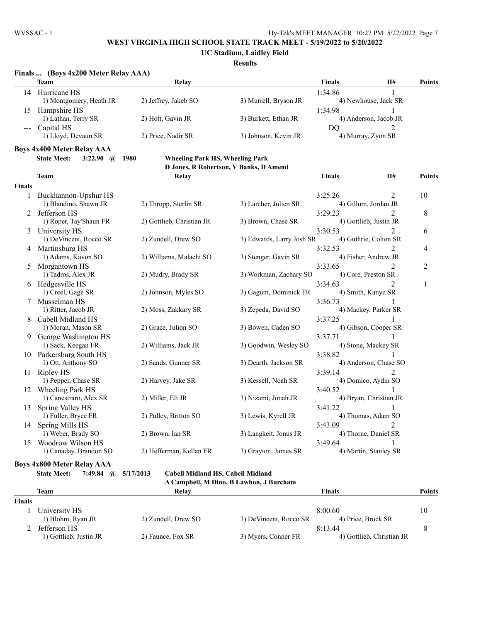**Finals ... (Boys 4x200 Meter Relay AAA)**

### **WEST VIRGINIA HIGH SCHOOL STATE TRACK MEET - 5/19/2022 to 5/20/2022**

**UC Stadium, Laidley Field**

#### **Results**

|               | Team                                          | <b>Relay</b>                                   |                                        | <b>Finals</b>  | H#                     | <b>Points</b> |
|---------------|-----------------------------------------------|------------------------------------------------|----------------------------------------|----------------|------------------------|---------------|
|               | 14 Hurricane HS                               |                                                |                                        | 1:34.86        | 1                      |               |
|               | 1) Montgomery, Heath JR                       | 2) Jeffrey, Jakeb SO                           | 3) Murrell, Bryson JR                  |                | 4) Newhouse, Jack SR   |               |
| 15            | Hampshire HS                                  |                                                |                                        | 1:34.98        | 1                      |               |
|               | 1) Lathan, Terry SR                           | 2) Hott, Gavin JR                              | 3) Burkett, Ethan JR                   |                | 4) Anderson, Jacob JR  |               |
| $- - -$       | Capital HS                                    |                                                |                                        | D <sub>O</sub> | $\mathfrak{D}$         |               |
|               | 1) Lloyd, Devaun SR                           | 2) Price, Nadir SR                             | 3) Johnson, Kevin JR                   |                | 4) Murray, Zyon SR     |               |
|               | <b>Boys 4x400 Meter Relay AAA</b>             |                                                |                                        |                |                        |               |
|               | <b>State Meet:</b><br>3:22.90 $\omega$        | 1980<br><b>Wheeling Park HS, Wheeling Park</b> |                                        |                |                        |               |
|               |                                               |                                                | D Jones, R Robertson, V Banks, D Amend |                |                        |               |
|               | <b>Team</b>                                   | Relay                                          |                                        | <b>Finals</b>  | <b>H#</b>              | <b>Points</b> |
|               |                                               |                                                |                                        |                |                        |               |
| <b>Finals</b> |                                               |                                                |                                        |                |                        |               |
| $\mathbf{1}$  | Buckhannon-Upshur HS                          |                                                |                                        | 3:25.26        | $\overline{2}$         | 10            |
|               | 1) Blandino, Shawn JR                         | 2) Thropp, Sterlin SR                          | 3) Larcher, Julien SR                  |                | 4) Gillum, Jordan JR   |               |
| 2             | Jefferson HS                                  |                                                |                                        | 3:29.23        | 2                      | 8             |
|               | 1) Roper, Tay'Shaun FR                        | 2) Gottlieb, Christian JR                      | 3) Brown, Chase SR                     |                | 4) Gottlieb, Justin JR |               |
| 3             | University HS                                 |                                                |                                        | 3:30.53        | 2                      | 6             |
|               | 1) DeVincent, Rocco SR                        | 2) Zundell, Drew SO                            | 3) Edwards, Larry Josh SR              |                | 4) Guthrie, Colton SR  |               |
|               | 4 Martinsburg HS                              | 2) Williams, Malachi SO                        |                                        | 3:32.53        | 4) Fisher, Andrew JR   | 4             |
|               | 1) Adams, Kavon SO                            |                                                | 3) Stenger, Gavin SR                   |                |                        |               |
| 5             | Morgantown HS                                 |                                                |                                        | 3:33.65        | $\overline{2}$         | 2             |
|               | 1) Tadros, Alex JR                            | 2) Mudry, Brady SR                             | 3) Workman, Zachary SO                 |                | 4) Core, Preston SR    |               |
|               | 6 Hedgesville HS                              |                                                |                                        | 3:34.63        | 2                      | $\mathbf{1}$  |
|               | 1) Creel, Gage SR                             | 2) Johnson, Myles SO                           | 3) Gagum, Dominick FR                  |                | 4) Smith, Kanye SR     |               |
| 7             | Musselman HS                                  |                                                |                                        | 3:36.73        | 1                      |               |
|               | 1) Ritter, Jacob JR                           | 2) Moss, Zakkary SR                            | 3) Zepeda, David SO                    |                | 4) Mackey, Parker SR   |               |
| 8             | Cabell Midland HS<br>1) Moran, Mason SR       | 2) Grace, Julion SO                            | 3) Bowen, Caden SO                     | 3:37.25        | 4) Gibson, Cooper SR   |               |
|               |                                               |                                                |                                        |                |                        |               |
| 9             | George Washington HS<br>1) Sack, Keegan FR    | 2) Williams, Jack JR                           | 3) Goodwin, Wesley SO                  | 3:37.71        | 4) Stone, Mackey SR    |               |
|               |                                               |                                                |                                        |                |                        |               |
|               | 10 Parkersburg South HS<br>1) Ott, Anthony SO | 2) Sands, Gunner SR                            | 3) Dearth, Jackson SR                  | 3:38.82        | 4) Anderson, Chase SO  |               |
|               | Ripley HS                                     |                                                |                                        | 3:39.14        | 2                      |               |
| 11            | 1) Pepper, Chase SR                           | 2) Harvey, Jake SR                             | 3) Kessell, Noah SR                    |                | 4) Domico, Aydin SO    |               |
|               | 12 Wheeling Park HS                           |                                                |                                        | 3:40.52        |                        |               |
|               | 1) Canestraro, Alex SR                        | 2) Miller, Eli JR                              | 3) Nizami, Jonah JR                    |                | 4) Bryan, Christian JR |               |
| 13            | Spring Valley HS                              |                                                |                                        | 3:41.22        |                        |               |
|               | 1) Fuller, Bryce FR                           | 2) Pulley, Britton SO                          | 3) Lewis, Kyrell JR                    |                | 4) Thomas, Adam SO     |               |
|               | 14 Spring Mills HS                            |                                                |                                        | 3:43.09        | 2                      |               |
|               | 1) Weber, Brady SO                            | 2) Brown, Ian SR                               | 3) Langkeit, Jonus JR                  |                | 4) Thorne, Daniel SR   |               |
| 15            | Woodrow Wilson HS                             |                                                |                                        | 3:49.64        |                        |               |
|               | 1) Canaday, Brandon SO                        | 2) Hefferman, Kellan FR                        | 3) Grayton, James SR                   |                | 4) Martin, Stanley SR  |               |
|               |                                               |                                                |                                        |                |                        |               |

### **Boys 4x800 Meter Relay AAA**

**State Meet: 7:49.84 @ 5/17/2013 Cabell Midland HS, Cabell Midland**

**A Campbell, M Dino, B Lawhon, J Burcham**

|               | Team                   | Relay               |                        | Finals                    | Points |
|---------------|------------------------|---------------------|------------------------|---------------------------|--------|
| <b>Finals</b> |                        |                     |                        |                           |        |
|               | University HS          |                     |                        | 8:00.60                   | 10     |
|               | 1) Blohm, Ryan JR      | 2) Zundell, Drew SO | 3) DeVincent, Rocco SR | 4) Price, Brock SR        |        |
|               | Jefferson HS           |                     |                        | 8:13.44                   |        |
|               | 1) Gottlieb, Justin JR | 2) Faunce, Fox SR   | 3) Myers, Conner FR    | 4) Gottlieb, Christian JR |        |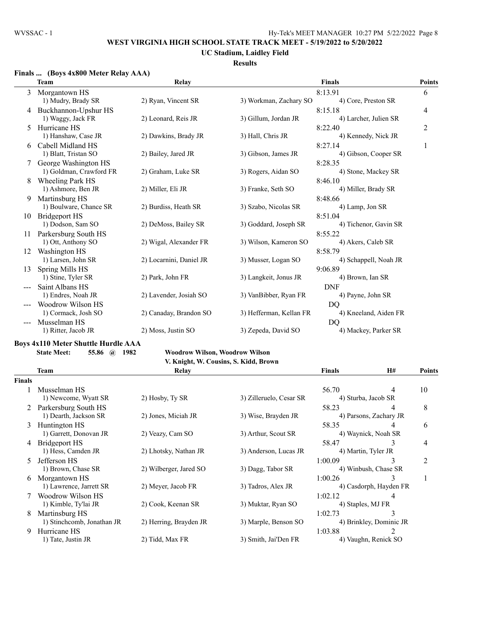### **UC Stadium, Laidley Field**

### **Results**

### **Finals ... (Boys 4x800 Meter Relay AAA)**

|    | <b>Team</b>                           | Relay                   |                         | <b>Finals</b>                    | <b>Points</b>  |
|----|---------------------------------------|-------------------------|-------------------------|----------------------------------|----------------|
| 3  | Morgantown HS                         |                         |                         | 8:13.91                          | 6              |
|    | 1) Mudry, Brady SR                    | 2) Ryan, Vincent SR     | 3) Workman, Zachary SO  | 4) Core, Preston SR              |                |
| 4  | Buckhannon-Upshur HS                  |                         |                         | 8:15.18                          | 4              |
|    | 1) Waggy, Jack FR                     | 2) Leonard, Reis JR     | 3) Gillum, Jordan JR    | 4) Larcher, Julien SR            |                |
| 5  | Hurricane HS                          |                         |                         | 8:22.40                          | $\overline{c}$ |
|    | 1) Hanshaw, Case JR                   | 2) Dawkins, Brady JR    | 3) Hall, Chris JR       | 4) Kennedy, Nick JR              |                |
| 6  | Cabell Midland HS                     |                         |                         | 8:27.14                          | 1              |
|    | 1) Blatt, Tristan SO                  | 2) Bailey, Jared JR     | 3) Gibson, James JR     | 4) Gibson, Cooper SR             |                |
|    | George Washington HS                  |                         |                         | 8:28.35                          |                |
|    | 1) Goldman, Crawford FR               | 2) Graham, Luke SR      | 3) Rogers, Aidan SO     | 4) Stone, Mackey SR              |                |
| 8  | Wheeling Park HS                      |                         |                         | 8:46.10                          |                |
|    | 1) Ashmore, Ben JR                    | 2) Miller, Eli JR       | 3) Franke, Seth SO      | 4) Miller, Brady SR              |                |
| 9  | Martinsburg HS                        |                         |                         | 8:48.66                          |                |
|    | 1) Boulware, Chance SR                | 2) Burdiss, Heath SR    | 3) Szabo, Nicolas SR    | 4) Lamp, Jon SR                  |                |
| 10 | Bridgeport HS                         |                         |                         | 8:51.04                          |                |
|    | 1) Dodson, Sam SO                     | 2) DeMoss, Bailey SR    | 3) Goddard, Joseph SR   | 4) Tichenor, Gavin SR            |                |
| 11 | Parkersburg South HS                  |                         |                         | 8:55.22                          |                |
|    | 1) Ott, Anthony SO                    | 2) Wigal, Alexander FR  | 3) Wilson, Kameron SO   | 4) Akers, Caleb SR               |                |
| 12 | Washington HS<br>1) Larsen, John SR   | 2) Locarnini, Daniel JR | 3) Musser, Logan SO     | 8:58.79<br>4) Schappell, Noah JR |                |
|    |                                       |                         |                         | 9:06.89                          |                |
| 13 | Spring Mills HS<br>1) Stine, Tyler SR | 2) Park, John FR        | 3) Langkeit, Jonus JR   | 4) Brown, Ian SR                 |                |
|    | Saint Albans HS                       |                         |                         | <b>DNF</b>                       |                |
|    | 1) Endres, Noah JR                    | 2) Lavender, Josiah SO  | 3) VanBibber, Ryan FR   | 4) Payne, John SR                |                |
|    | Woodrow Wilson HS                     |                         |                         | DO                               |                |
|    | 1) Cormack, Josh SO                   | 2) Canaday, Brandon SO  | 3) Hefferman, Kellan FR | 4) Kneeland, Aiden FR            |                |
|    | Musselman HS                          |                         |                         | DQ                               |                |
|    | 1) Ritter, Jacob JR                   | 2) Moss, Justin SO      | 3) Zepeda, David SO     | 4) Mackey, Parker SR             |                |
|    |                                       |                         |                         |                                  |                |

#### **Boys 4x110 Meter Shuttle Hurdle AAA**

#### **State Meet: 55.86 @ 1982 Woodrow Wilson, Woodrow Wilson**

# **V. Knight, W. Cousins, S. Kidd, Brown**

|               | Team                       | Relay                  |                         | <b>Finals</b>           | <b>H#</b>              | <b>Points</b> |
|---------------|----------------------------|------------------------|-------------------------|-------------------------|------------------------|---------------|
| <b>Finals</b> |                            |                        |                         |                         |                        |               |
|               | Musselman HS               |                        |                         | 56.70                   | 4                      | 10            |
|               | 1) Newcome, Wyatt SR       | 2) Hosby, Ty SR        | 3) Zilleruelo, Cesar SR |                         | 4) Sturba, Jacob SR    |               |
|               | Parkersburg South HS       |                        |                         | 58.23                   | 4                      | 8             |
|               | 1) Dearth, Jackson SR      | 2) Jones, Miciah JR    | 3) Wise, Brayden JR     |                         | 4) Parsons, Zachary JR |               |
| 3             | Huntington HS              |                        |                         | 58.35                   | 4                      | 6             |
|               | 1) Garrett, Donovan JR     | 2) Veazy, Cam SO       | 3) Arthur, Scout SR     |                         | 4) Waynick, Noah SR    |               |
|               | Bridgeport HS              |                        |                         | 58.47                   | 3                      | 4             |
|               | 1) Hess, Camden JR         | 2) Lhotsky, Nathan JR  | 3) Anderson, Lucas JR   |                         | 4) Martin, Tyler JR    |               |
|               | Jefferson HS               |                        |                         | 1:00.09                 | 3                      | 2             |
|               | 1) Brown, Chase SR         | 2) Wilberger, Jared SO | 3) Dagg, Tabor SR       |                         | 4) Winbush, Chase SR   |               |
| 6             | Morgantown HS              |                        |                         | 1:00.26                 |                        |               |
|               | 1) Lawrence, Jarrett SR    | 2) Meyer, Jacob FR     | 3) Tadros, Alex JR      |                         | 4) Casdorph, Hayden FR |               |
|               | Woodrow Wilson HS          |                        |                         | 1:02.12                 | 4                      |               |
|               | 1) Kimble, Ty'lai JR       | 2) Cook, Keenan SR     | 3) Muktar, Ryan SO      |                         | 4) Staples, MJ FR      |               |
| 8             | Martinsburg HS             |                        |                         | 1:02.73                 | 3                      |               |
|               | 1) Stinchcomb, Jonathan JR | 2) Herring, Brayden JR | 3) Marple, Benson SO    | 4) Brinkley, Dominic JR |                        |               |
| 9             | Hurricane HS               |                        |                         | 1:03.88                 | 2                      |               |
|               | 1) Tate, Justin JR         | 2) Tidd, Max FR        | 3) Smith, Jai'Den FR    |                         | 4) Vaughn, Renick SO   |               |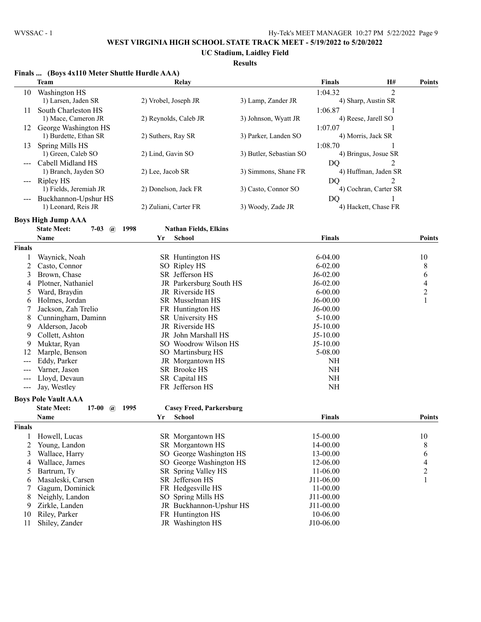**UC Stadium, Laidley Field**

|               | Finals  (Boys 4x110 Meter Shuttle Hurdle AAA)  |                                         |                         |               |                       |                |
|---------------|------------------------------------------------|-----------------------------------------|-------------------------|---------------|-----------------------|----------------|
|               | <b>Team</b>                                    | Relay                                   |                         | <b>Finals</b> | H#                    | <b>Points</b>  |
| 10            | Washington HS                                  |                                         |                         | 1:04.32       | $\overline{2}$        |                |
|               | 1) Larsen, Jaden SR                            | 2) Vrobel, Joseph JR                    | 3) Lamp, Zander JR      |               | 4) Sharp, Austin SR   |                |
| 11            | South Charleston HS                            |                                         |                         | 1:06.87       |                       |                |
|               | 1) Mace, Cameron JR                            | 2) Reynolds, Caleb JR                   | 3) Johnson, Wyatt JR    |               | 4) Reese, Jarell SO   |                |
| 12            | George Washington HS                           |                                         |                         | 1:07.07       |                       |                |
|               | 1) Burdette, Ethan SR                          | 2) Suthers, Ray SR                      | 3) Parker, Landen SO    |               | 4) Morris, Jack SR    |                |
| 13            | Spring Mills HS                                |                                         |                         | 1:08.70       | 1                     |                |
|               | 1) Green, Caleb SO                             | 2) Lind, Gavin SO                       | 3) Butler, Sebastian SO |               | 4) Bringus, Josue SR  |                |
|               | Cabell Midland HS                              |                                         |                         | DO            | 2                     |                |
|               | 1) Branch, Jayden SO                           | 2) Lee, Jacob SR                        | 3) Simmons, Shane FR    |               | 4) Huffman, Jaden SR  |                |
|               | --- Ripley HS                                  |                                         |                         | DO            | 2                     |                |
|               | 1) Fields, Jeremiah JR                         | 2) Donelson, Jack FR                    | 3) Casto, Connor SO     |               | 4) Cochran, Carter SR |                |
|               | Buckhannon-Upshur HS                           |                                         |                         | DQ            | 1                     |                |
|               | 1) Leonard, Reis JR                            | 2) Zuliani, Carter FR                   | 3) Woody, Zade JR       |               | 4) Hackett, Chase FR  |                |
|               | <b>Boys High Jump AAA</b>                      |                                         |                         |               |                       |                |
|               | <b>State Meet:</b><br>$7 - 03$<br>$\mathbf{a}$ | <b>Nathan Fields, Elkins</b><br>1998    |                         |               |                       |                |
|               | Name                                           | School<br>Yr                            |                         | <b>Finals</b> |                       | <b>Points</b>  |
| <b>Finals</b> |                                                |                                         |                         |               |                       |                |
| 1             | Waynick, Noah                                  | SR Huntington HS                        |                         | $6 - 04.00$   |                       | 10             |
| 2             | Casto, Connor                                  | SO Ripley HS                            |                         | $6 - 02.00$   |                       | 8              |
| 3             | Brown, Chase                                   | SR Jefferson HS                         |                         | $J6-02.00$    |                       | 6              |
| 4             | Plotner, Nathaniel                             | JR Parkersburg South HS                 |                         | $J6-02.00$    |                       | $\overline{4}$ |
| 5             | Ward, Braydin                                  | JR Riverside HS                         |                         | $6 - 00.00$   |                       | $\overline{c}$ |
| 6             | Holmes, Jordan                                 | SR Musselman HS                         |                         | $J6-00.00$    |                       | $\mathbf{1}$   |
| 7             | Jackson, Zah Trelio                            | FR Huntington HS                        |                         | $J6-00.00$    |                       |                |
| 8             | Cunningham, Daminn                             | SR University HS                        |                         | $5 - 10.00$   |                       |                |
| 9             | Alderson, Jacob                                | JR Riverside HS                         |                         | $J5-10.00$    |                       |                |
| 9             | Collett, Ashton                                | JR John Marshall HS                     |                         | $J5-10.00$    |                       |                |
| 9             | Muktar, Ryan                                   | SO Woodrow Wilson HS                    |                         | $J5-10.00$    |                       |                |
| 12            | Marple, Benson                                 | SO Martinsburg HS                       |                         | 5-08.00       |                       |                |
| ---           | Eddy, Parker                                   | JR Morgantown HS                        |                         | NH            |                       |                |
| ---           | Varner, Jason                                  | SR Brooke HS                            |                         | $\rm NH$      |                       |                |
|               | Lloyd, Devaun                                  | SR Capital HS                           |                         | $\rm NH$      |                       |                |
| $---$         | Jay, Westley                                   | FR Jefferson HS                         |                         | NH            |                       |                |
|               | <b>Boys Pole Vault AAA</b>                     |                                         |                         |               |                       |                |
|               | <b>State Meet:</b><br>$17-00$<br>$\mathbf{a}$  | 1995<br><b>Casey Freed, Parkersburg</b> |                         |               |                       |                |
|               | <b>Name</b>                                    | Yr School                               |                         | <b>Finals</b> |                       | <b>Points</b>  |
| <b>Finals</b> |                                                |                                         |                         |               |                       |                |
| 1             | Howell, Lucas                                  | SR Morgantown HS                        |                         | 15-00.00      |                       | 10             |
| 2             | Young, Landon                                  | SR Morgantown HS                        |                         | 14-00.00      |                       | 8              |
| 3             | Wallace, Harry                                 | SO George Washington HS                 |                         | 13-00.00      |                       | 6              |
| 4             | Wallace, James                                 | SO George Washington HS                 |                         | 12-06.00      |                       | $\overline{4}$ |
| 5             | Bartrum, Ty                                    | SR Spring Valley HS                     |                         | 11-06.00      |                       | $\overline{c}$ |
| 6             | Masaleski, Carsen                              | SR Jefferson HS                         |                         | J11-06.00     |                       | $\mathbf{1}$   |
| 7             | Gagum, Dominick                                | FR Hedgesville HS                       |                         | 11-00.00      |                       |                |
| 8             | Neighly, Landon                                | SO Spring Mills HS                      |                         | J11-00.00     |                       |                |
| 9             | Zirkle, Landen                                 | JR Buckhannon-Upshur HS                 |                         | J11-00.00     |                       |                |
| 10            | Riley, Parker                                  | FR Huntington HS                        |                         | 10-06.00      |                       |                |
| 11            | Shiley, Zander                                 | JR Washington HS                        |                         | J10-06.00     |                       |                |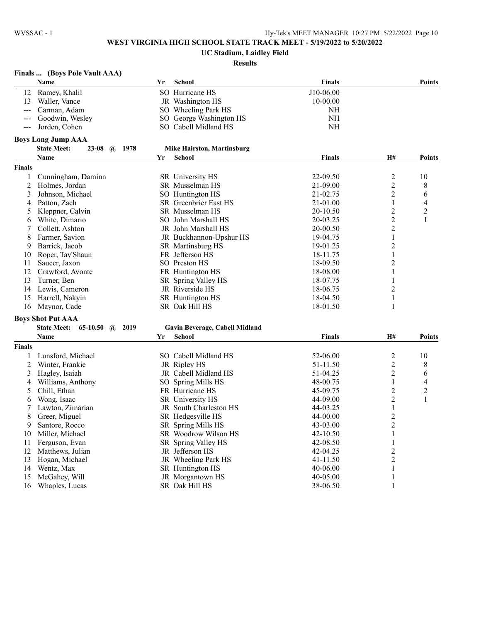# **UC Stadium, Laidley Field**

| Finals  (Boys Pole Vault AAA) |  |  |
|-------------------------------|--|--|
|                               |  |  |

|                | Name                                                | Yr | <b>School</b>                     | <b>Finals</b> |                         | <b>Points</b>  |
|----------------|-----------------------------------------------------|----|-----------------------------------|---------------|-------------------------|----------------|
| 12             | Ramey, Khalil                                       |    | SO Hurricane HS                   | J10-06.00     |                         |                |
| 13             | Waller, Vance                                       |    | JR Washington HS                  | 10-00.00      |                         |                |
| $\frac{1}{2}$  | Carman, Adam                                        |    | SO Wheeling Park HS               | NH            |                         |                |
|                | Goodwin, Wesley                                     |    | SO George Washington HS           | NH            |                         |                |
|                | Jorden, Cohen                                       |    | SO Cabell Midland HS              | NH            |                         |                |
|                | <b>Boys Long Jump AAA</b>                           |    |                                   |               |                         |                |
|                | <b>State Meet:</b><br><b>23-08</b> $\omega$<br>1978 |    | <b>Mike Hairston, Martinsburg</b> |               |                         |                |
|                | <b>Name</b>                                         | Yr | <b>School</b>                     | <b>Finals</b> | H#                      | <b>Points</b>  |
| Finals         |                                                     |    |                                   |               |                         |                |
| $\mathbf{1}$   | Cunningham, Daminn                                  |    | SR University HS                  | 22-09.50      | 2                       | 10             |
| $\overline{c}$ | Holmes, Jordan                                      |    | SR Musselman HS                   | 21-09.00      | $\overline{c}$          | 8              |
| 3              | Johnson, Michael                                    |    | SO Huntington HS                  | 21-02.75      | $\overline{2}$          | 6              |
| 4              | Patton, Zach                                        |    | SR Greenbrier East HS             | 21-01.00      | 1                       | 4              |
| 5              | Kleppner, Calvin                                    |    | SR Musselman HS                   | 20-10.50      | $\overline{2}$          | 2              |
| 6              | White, Dimario                                      |    | SO John Marshall HS               | 20-03.25      | $\overline{c}$          | 1              |
| 7              | Collett, Ashton                                     |    | JR John Marshall HS               | 20-00.50      | $\overline{2}$          |                |
| 8              | Farmer, Savion                                      |    | JR Buckhannon-Upshur HS           | 19-04.75      | $\mathbf{1}$            |                |
| 9              | Barrick, Jacob                                      |    | SR Martinsburg HS                 | 19-01.25      | $\overline{c}$          |                |
| 10             | Roper, Tay'Shaun                                    |    | FR Jefferson HS                   | 18-11.75      | $\mathbf{1}$            |                |
| 11             | Saucer, Jaxon                                       |    | SO Preston HS                     | 18-09.50      | $\overline{c}$          |                |
| 12             | Crawford, Avonte                                    |    | FR Huntington HS                  | 18-08.00      | 1                       |                |
| 13             | Turner, Ben                                         |    | SR Spring Valley HS               | 18-07.75      | $\mathbf{1}$            |                |
| 14             | Lewis, Cameron                                      |    | JR Riverside HS                   | 18-06.75      | 2                       |                |
| 15             | Harrell, Nakyin                                     |    | SR Huntington HS                  | 18-04.50      | $\,1\,$                 |                |
|                | 16 Maynor, Cade                                     |    | SR Oak Hill HS                    | 18-01.50      | 1                       |                |
|                | <b>Boys Shot Put AAA</b>                            |    |                                   |               |                         |                |
|                | <b>State Meet:</b><br>$65-10.50$ (a) 2019           |    | Gavin Beverage, Cabell Midland    |               |                         |                |
|                | Name                                                | Yr | <b>School</b>                     | <b>Finals</b> | <b>H#</b>               | <b>Points</b>  |
| Finals         |                                                     |    |                                   |               |                         |                |
| 1              | Lunsford, Michael                                   |    | SO Cabell Midland HS              | 52-06.00      | $\overline{c}$          | 10             |
| 2              | Winter, Frankie                                     |    | JR Ripley HS                      | 51-11.50      | $\overline{c}$          | 8              |
| 3              | Hagley, Isaiah                                      |    | JR Cabell Midland HS              | 51-04.25      | $\overline{c}$          | 6              |
| 4              | Williams, Anthony                                   |    | SO Spring Mills HS                | 48-00.75      | 1                       | 4              |
| 5              | Chill, Ethan                                        |    | FR Hurricane HS                   | 45-09.75      | $\overline{\mathbf{c}}$ | $\overline{2}$ |
| 6              | Wong, Isaac                                         |    | SR University HS                  | 44-09.00      | $\overline{2}$          | $\mathbf{1}$   |
| 7              | Lawton, Zimarian                                    |    | JR South Charleston HS            | 44-03.25      | $\mathbf{1}$            |                |
| 8              | Greer, Miguel                                       |    | SR Hedgesville HS                 | 44-00.00      | $\overline{\mathbf{c}}$ |                |
| 9              | Santore, Rocco                                      |    | SR Spring Mills HS                | 43-03.00      | $\overline{c}$          |                |
| 10             | Miller, Michael                                     |    | SR Woodrow Wilson HS              | 42-10.50      | $\mathbf{1}$            |                |
| 11             | Ferguson, Evan                                      |    | SR Spring Valley HS               | 42-08.50      | 1                       |                |
| 12             | Matthews, Julian                                    |    | JR Jefferson HS                   | 42-04.25      | $\overline{c}$          |                |
| 13             | Hogan, Michael                                      |    | JR Wheeling Park HS               | 41-11.50      | $\overline{c}$          |                |
| 14             | Wentz, Max                                          |    | SR Huntington HS                  | 40-06.00      | $\mathbf{1}$            |                |
| 15             | McGahey, Will                                       |    | JR Morgantown HS                  | 40-05.00      | 1                       |                |
| 16             | Whaples, Lucas                                      |    | SR Oak Hill HS                    | 38-06.50      | 1                       |                |
|                |                                                     |    |                                   |               |                         |                |